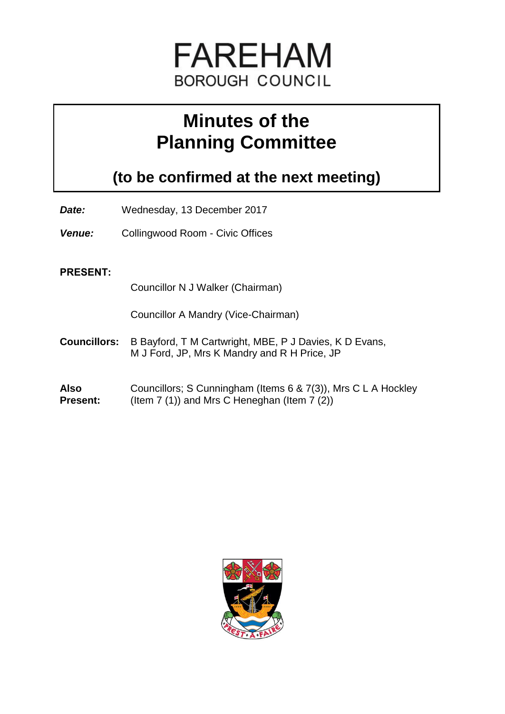

# **Minutes of the Planning Committee**

**(to be confirmed at the next meeting)**

- *Date:* Wednesday, 13 December 2017
- *Venue:* Collingwood Room Civic Offices

#### **PRESENT:**

Councillor N J Walker (Chairman)

Councillor A Mandry (Vice-Chairman)

- **Councillors:** B Bayford, T M Cartwright, MBE, P J Davies, K D Evans, M J Ford, JP, Mrs K Mandry and R H Price, JP
- **Also Present:** Councillors; S Cunningham (Items 6 & 7(3)), Mrs C L A Hockley (Item 7 (1)) and Mrs C Heneghan (Item 7 (2))

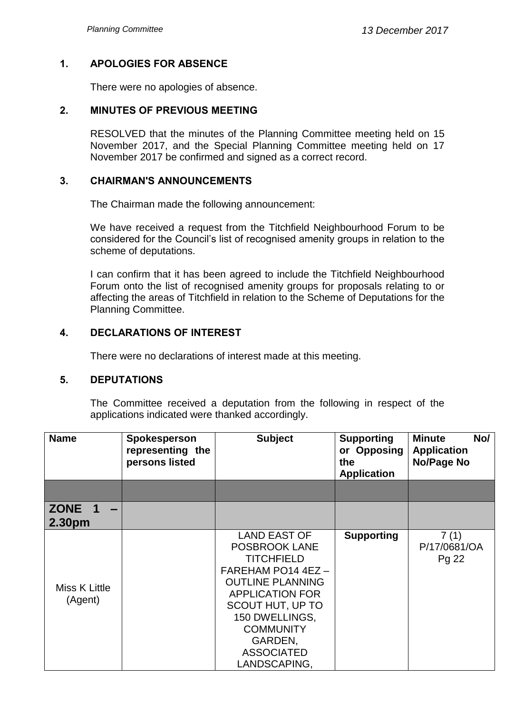# **1. APOLOGIES FOR ABSENCE**

There were no apologies of absence.

#### **2. MINUTES OF PREVIOUS MEETING**

RESOLVED that the minutes of the Planning Committee meeting held on 15 November 2017, and the Special Planning Committee meeting held on 17 November 2017 be confirmed and signed as a correct record.

#### **3. CHAIRMAN'S ANNOUNCEMENTS**

The Chairman made the following announcement:

We have received a request from the Titchfield Neighbourhood Forum to be considered for the Council's list of recognised amenity groups in relation to the scheme of deputations.

I can confirm that it has been agreed to include the Titchfield Neighbourhood Forum onto the list of recognised amenity groups for proposals relating to or affecting the areas of Titchfield in relation to the Scheme of Deputations for the Planning Committee.

### **4. DECLARATIONS OF INTEREST**

There were no declarations of interest made at this meeting.

#### **5. DEPUTATIONS**

The Committee received a deputation from the following in respect of the applications indicated were thanked accordingly.

| <b>Name</b>              | Spokesperson<br>representing the<br>persons listed | <b>Subject</b>                                                                                                                                                                                                                          | <b>Supporting</b><br>or Opposing<br>the<br><b>Application</b> | <b>Minute</b><br>No/<br><b>Application</b><br>No/Page No |
|--------------------------|----------------------------------------------------|-----------------------------------------------------------------------------------------------------------------------------------------------------------------------------------------------------------------------------------------|---------------------------------------------------------------|----------------------------------------------------------|
|                          |                                                    |                                                                                                                                                                                                                                         |                                                               |                                                          |
| ZONE 1<br>2.30pm         |                                                    |                                                                                                                                                                                                                                         |                                                               |                                                          |
| Miss K Little<br>(Agent) |                                                    | LAND EAST OF<br>POSBROOK LANE<br><b>TITCHFIELD</b><br>FAREHAM PO14 4EZ -<br><b>OUTLINE PLANNING</b><br><b>APPLICATION FOR</b><br>SCOUT HUT, UP TO<br>150 DWELLINGS,<br><b>COMMUNITY</b><br>GARDEN,<br><b>ASSOCIATED</b><br>LANDSCAPING, | <b>Supporting</b>                                             | 7(1)<br>P/17/0681/OA<br>Pg 22                            |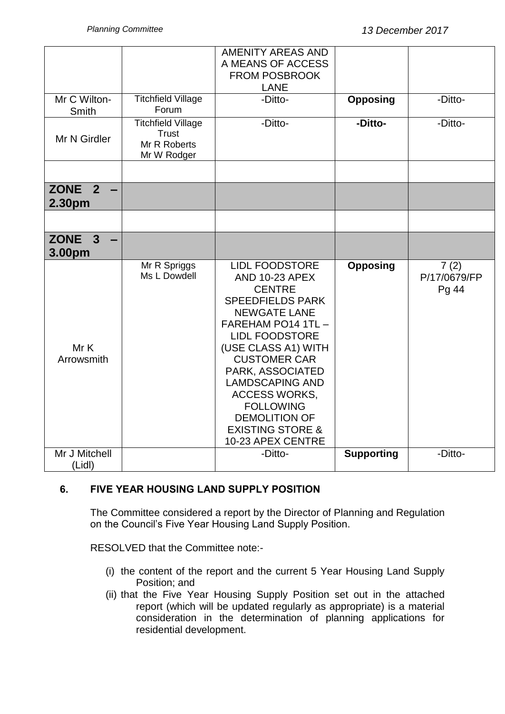|                              |                                                                          | <b>AMENITY AREAS AND</b><br>A MEANS OF ACCESS<br><b>FROM POSBROOK</b>                                                                                                                                                                                                                                                                                                                |                   |                               |
|------------------------------|--------------------------------------------------------------------------|--------------------------------------------------------------------------------------------------------------------------------------------------------------------------------------------------------------------------------------------------------------------------------------------------------------------------------------------------------------------------------------|-------------------|-------------------------------|
|                              |                                                                          | <b>LANE</b>                                                                                                                                                                                                                                                                                                                                                                          |                   |                               |
| Mr C Wilton-<br><b>Smith</b> | <b>Titchfield Village</b><br>Forum                                       | -Ditto-                                                                                                                                                                                                                                                                                                                                                                              | <b>Opposing</b>   | -Ditto-                       |
| Mr N Girdler                 | <b>Titchfield Village</b><br><b>Trust</b><br>Mr R Roberts<br>Mr W Rodger | -Ditto-                                                                                                                                                                                                                                                                                                                                                                              | -Ditto-           | -Ditto-                       |
|                              |                                                                          |                                                                                                                                                                                                                                                                                                                                                                                      |                   |                               |
| ZONE $2 -$<br>2.30pm         |                                                                          |                                                                                                                                                                                                                                                                                                                                                                                      |                   |                               |
|                              |                                                                          |                                                                                                                                                                                                                                                                                                                                                                                      |                   |                               |
| ZONE <sub>3</sub><br>3.00pm  |                                                                          |                                                                                                                                                                                                                                                                                                                                                                                      |                   |                               |
| Mr K<br>Arrowsmith           | Mr R Spriggs<br>Ms L Dowdell                                             | <b>LIDL FOODSTORE</b><br><b>AND 10-23 APEX</b><br><b>CENTRE</b><br><b>SPEEDFIELDS PARK</b><br><b>NEWGATE LANE</b><br>FAREHAM PO14 1TL -<br><b>LIDL FOODSTORE</b><br>(USE CLASS A1) WITH<br><b>CUSTOMER CAR</b><br>PARK, ASSOCIATED<br><b>LAMDSCAPING AND</b><br><b>ACCESS WORKS,</b><br><b>FOLLOWING</b><br><b>DEMOLITION OF</b><br><b>EXISTING STORE &amp;</b><br>10-23 APEX CENTRE | <b>Opposing</b>   | 7(2)<br>P/17/0679/FP<br>Pg 44 |
| Mr J Mitchell<br>(Lidl)      |                                                                          | -Ditto-                                                                                                                                                                                                                                                                                                                                                                              | <b>Supporting</b> | -Ditto-                       |

# **6. FIVE YEAR HOUSING LAND SUPPLY POSITION**

The Committee considered a report by the Director of Planning and Regulation on the Council's Five Year Housing Land Supply Position.

RESOLVED that the Committee note:-

- (i) the content of the report and the current 5 Year Housing Land Supply Position; and
- (ii) that the Five Year Housing Supply Position set out in the attached report (which will be updated regularly as appropriate) is a material consideration in the determination of planning applications for residential development.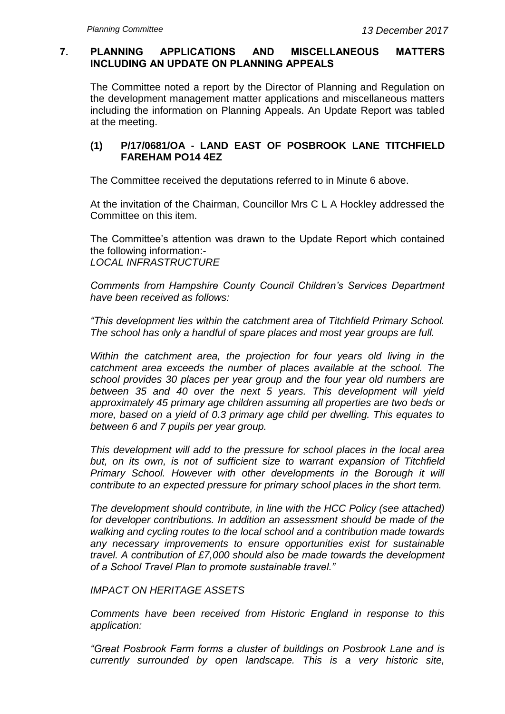# **7. PLANNING APPLICATIONS AND MISCELLANEOUS MATTERS INCLUDING AN UPDATE ON PLANNING APPEALS**

The Committee noted a report by the Director of Planning and Regulation on the development management matter applications and miscellaneous matters including the information on Planning Appeals. An Update Report was tabled at the meeting.

# **(1) P/17/0681/OA - LAND EAST OF POSBROOK LANE TITCHFIELD FAREHAM PO14 4EZ**

The Committee received the deputations referred to in Minute 6 above.

At the invitation of the Chairman, Councillor Mrs C L A Hockley addressed the Committee on this item.

The Committee's attention was drawn to the Update Report which contained the following information:- *LOCAL INFRASTRUCTURE*

*Comments from Hampshire County Council Children's Services Department have been received as follows:*

*"This development lies within the catchment area of Titchfield Primary School. The school has only a handful of spare places and most year groups are full.*

*Within the catchment area, the projection for four years old living in the catchment area exceeds the number of places available at the school. The school provides 30 places per year group and the four year old numbers are between 35 and 40 over the next 5 years. This development will yield approximately 45 primary age children assuming all properties are two beds or more, based on a yield of 0.3 primary age child per dwelling. This equates to between 6 and 7 pupils per year group.*

*This development will add to the pressure for school places in the local area but, on its own, is not of sufficient size to warrant expansion of Titchfield Primary School. However with other developments in the Borough it will contribute to an expected pressure for primary school places in the short term.*

*The development should contribute, in line with the HCC Policy (see attached) for developer contributions. In addition an assessment should be made of the walking and cycling routes to the local school and a contribution made towards any necessary improvements to ensure opportunities exist for sustainable travel. A contribution of £7,000 should also be made towards the development of a School Travel Plan to promote sustainable travel."*

#### *IMPACT ON HERITAGE ASSETS*

*Comments have been received from Historic England in response to this application:*

*"Great Posbrook Farm forms a cluster of buildings on Posbrook Lane and is currently surrounded by open landscape. This is a very historic site,*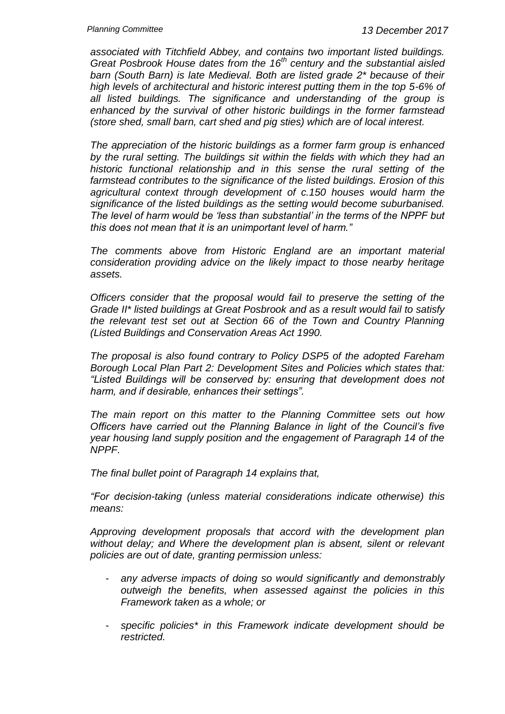*associated with Titchfield Abbey, and contains two important listed buildings. Great Posbrook House dates from the 16th century and the substantial aisled barn (South Barn) is late Medieval. Both are listed grade 2\* because of their high levels of architectural and historic interest putting them in the top 5-6% of all listed buildings. The significance and understanding of the group is enhanced by the survival of other historic buildings in the former farmstead (store shed, small barn, cart shed and pig sties) which are of local interest.*

*The appreciation of the historic buildings as a former farm group is enhanced by the rural setting. The buildings sit within the fields with which they had an historic functional relationship and in this sense the rural setting of the farmstead contributes to the significance of the listed buildings. Erosion of this agricultural context through development of c.150 houses would harm the significance of the listed buildings as the setting would become suburbanised. The level of harm would be 'less than substantial' in the terms of the NPPF but this does not mean that it is an unimportant level of harm."*

*The comments above from Historic England are an important material consideration providing advice on the likely impact to those nearby heritage assets.*

*Officers consider that the proposal would fail to preserve the setting of the Grade II\* listed buildings at Great Posbrook and as a result would fail to satisfy the relevant test set out at Section 66 of the Town and Country Planning (Listed Buildings and Conservation Areas Act 1990.*

*The proposal is also found contrary to Policy DSP5 of the adopted Fareham Borough Local Plan Part 2: Development Sites and Policies which states that: "Listed Buildings will be conserved by: ensuring that development does not harm, and if desirable, enhances their settings".*

*The main report on this matter to the Planning Committee sets out how Officers have carried out the Planning Balance in light of the Council's five year housing land supply position and the engagement of Paragraph 14 of the NPPF.*

*The final bullet point of Paragraph 14 explains that,*

*"For decision-taking (unless material considerations indicate otherwise) this means:*

*Approving development proposals that accord with the development plan without delay; and Where the development plan is absent, silent or relevant policies are out of date, granting permission unless:*

- *any adverse impacts of doing so would significantly and demonstrably outweigh the benefits, when assessed against the policies in this Framework taken as a whole; or*
- *specific policies\* in this Framework indicate development should be restricted.*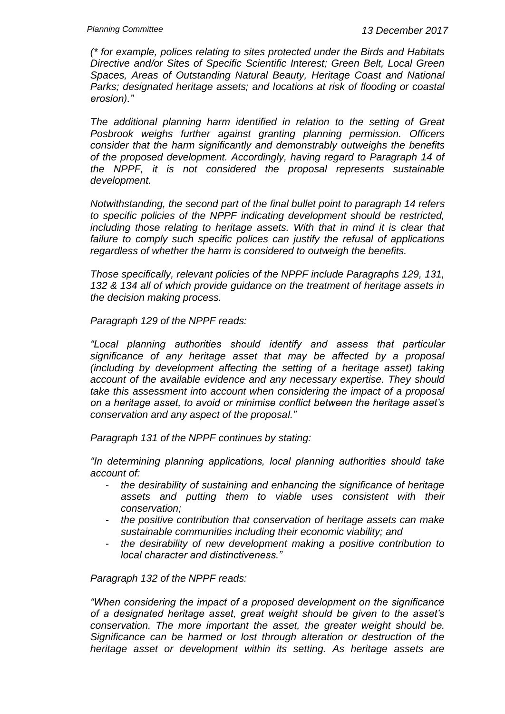*(\* for example, polices relating to sites protected under the Birds and Habitats Directive and/or Sites of Specific Scientific Interest; Green Belt, Local Green Spaces, Areas of Outstanding Natural Beauty, Heritage Coast and National Parks; designated heritage assets; and locations at risk of flooding or coastal erosion)."*

*The additional planning harm identified in relation to the setting of Great Posbrook weighs further against granting planning permission. Officers consider that the harm significantly and demonstrably outweighs the benefits of the proposed development. Accordingly, having regard to Paragraph 14 of the NPPF, it is not considered the proposal represents sustainable development.*

*Notwithstanding, the second part of the final bullet point to paragraph 14 refers to specific policies of the NPPF indicating development should be restricted, including those relating to heritage assets. With that in mind it is clear that failure to comply such specific polices can justify the refusal of applications regardless of whether the harm is considered to outweigh the benefits.*

*Those specifically, relevant policies of the NPPF include Paragraphs 129, 131, 132 & 134 all of which provide guidance on the treatment of heritage assets in the decision making process.*

*Paragraph 129 of the NPPF reads:*

*"Local planning authorities should identify and assess that particular significance of any heritage asset that may be affected by a proposal (including by development affecting the setting of a heritage asset) taking account of the available evidence and any necessary expertise. They should take this assessment into account when considering the impact of a proposal on a heritage asset, to avoid or minimise conflict between the heritage asset's conservation and any aspect of the proposal."*

*Paragraph 131 of the NPPF continues by stating:*

*"In determining planning applications, local planning authorities should take account of:*

- *the desirability of sustaining and enhancing the significance of heritage assets and putting them to viable uses consistent with their conservation;*
- *the positive contribution that conservation of heritage assets can make sustainable communities including their economic viability; and*
- *the desirability of new development making a positive contribution to local character and distinctiveness."*

*Paragraph 132 of the NPPF reads:*

*"When considering the impact of a proposed development on the significance of a designated heritage asset, great weight should be given to the asset's conservation. The more important the asset, the greater weight should be. Significance can be harmed or lost through alteration or destruction of the heritage asset or development within its setting. As heritage assets are*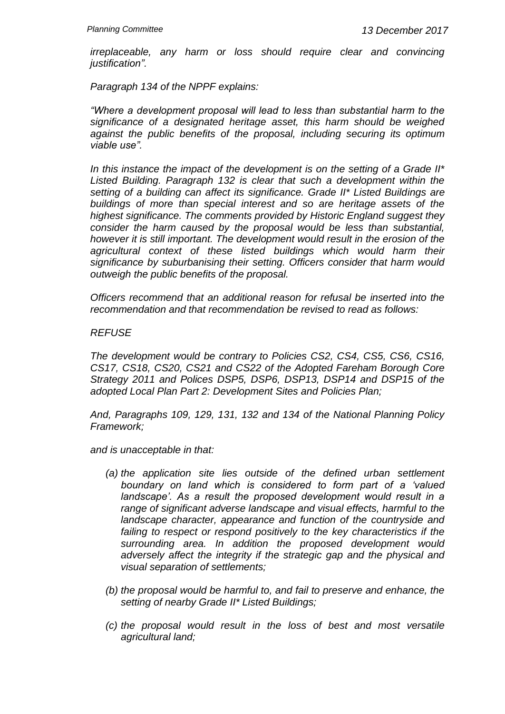*irreplaceable, any harm or loss should require clear and convincing justification".*

*Paragraph 134 of the NPPF explains:*

*"Where a development proposal will lead to less than substantial harm to the significance of a designated heritage asset, this harm should be weighed against the public benefits of the proposal, including securing its optimum viable use".*

*In this instance the impact of the development is on the setting of a Grade II\* Listed Building. Paragraph 132 is clear that such a development within the setting of a building can affect its significance. Grade II\* Listed Buildings are buildings of more than special interest and so are heritage assets of the highest significance. The comments provided by Historic England suggest they consider the harm caused by the proposal would be less than substantial, however it is still important. The development would result in the erosion of the agricultural context of these listed buildings which would harm their significance by suburbanising their setting. Officers consider that harm would outweigh the public benefits of the proposal.*

*Officers recommend that an additional reason for refusal be inserted into the recommendation and that recommendation be revised to read as follows:*

#### *REFUSE*

*The development would be contrary to Policies CS2, CS4, CS5, CS6, CS16, CS17, CS18, CS20, CS21 and CS22 of the Adopted Fareham Borough Core Strategy 2011 and Polices DSP5, DSP6, DSP13, DSP14 and DSP15 of the adopted Local Plan Part 2: Development Sites and Policies Plan;*

*And, Paragraphs 109, 129, 131, 132 and 134 of the National Planning Policy Framework;*

*and is unacceptable in that:*

- *(a) the application site lies outside of the defined urban settlement boundary on land which is considered to form part of a 'valued landscape'. As a result the proposed development would result in a range of significant adverse landscape and visual effects, harmful to the landscape character, appearance and function of the countryside and failing to respect or respond positively to the key characteristics if the surrounding area. In addition the proposed development would adversely affect the integrity if the strategic gap and the physical and visual separation of settlements;*
- *(b) the proposal would be harmful to, and fail to preserve and enhance, the setting of nearby Grade II\* Listed Buildings;*
- *(c) the proposal would result in the loss of best and most versatile agricultural land;*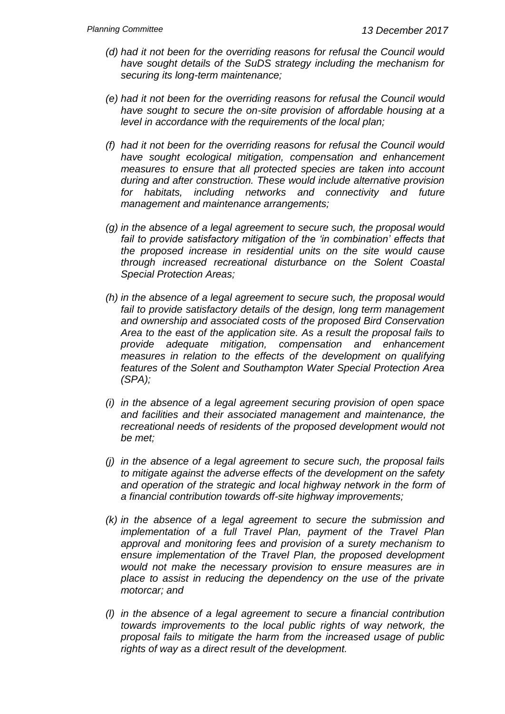- *(d) had it not been for the overriding reasons for refusal the Council would have sought details of the SuDS strategy including the mechanism for securing its long-term maintenance;*
- *(e) had it not been for the overriding reasons for refusal the Council would have sought to secure the on-site provision of affordable housing at a level in accordance with the requirements of the local plan;*
- *(f) had it not been for the overriding reasons for refusal the Council would have sought ecological mitigation, compensation and enhancement measures to ensure that all protected species are taken into account during and after construction. These would include alternative provision for habitats, including networks and connectivity and future management and maintenance arrangements;*
- *(g) in the absence of a legal agreement to secure such, the proposal would*  fail to provide satisfactory mitigation of the 'in combination' effects that *the proposed increase in residential units on the site would cause through increased recreational disturbance on the Solent Coastal Special Protection Areas;*
- *(h) in the absence of a legal agreement to secure such, the proposal would*  fail to provide satisfactory details of the design, long term management *and ownership and associated costs of the proposed Bird Conservation Area to the east of the application site. As a result the proposal fails to provide adequate mitigation, compensation and enhancement measures in relation to the effects of the development on qualifying features of the Solent and Southampton Water Special Protection Area (SPA);*
- *(i) in the absence of a legal agreement securing provision of open space and facilities and their associated management and maintenance, the recreational needs of residents of the proposed development would not be met;*
- *(j) in the absence of a legal agreement to secure such, the proposal fails to mitigate against the adverse effects of the development on the safety*  and operation of the strategic and local highway network in the form of *a financial contribution towards off-site highway improvements;*
- *(k) in the absence of a legal agreement to secure the submission and implementation of a full Travel Plan, payment of the Travel Plan approval and monitoring fees and provision of a surety mechanism to ensure implementation of the Travel Plan, the proposed development would not make the necessary provision to ensure measures are in place to assist in reducing the dependency on the use of the private motorcar; and*
- *(l) in the absence of a legal agreement to secure a financial contribution towards improvements to the local public rights of way network, the proposal fails to mitigate the harm from the increased usage of public rights of way as a direct result of the development.*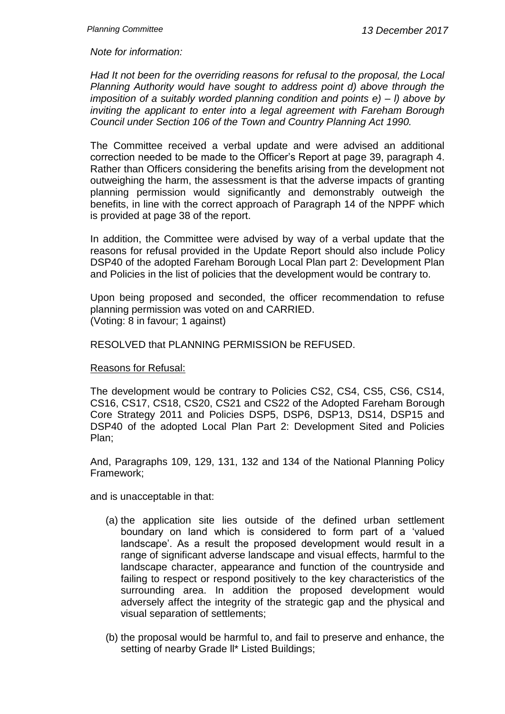*Note for information:*

*Had It not been for the overriding reasons for refusal to the proposal, the Local Planning Authority would have sought to address point d) above through the imposition of a suitably worded planning condition and points e) – l) above by inviting the applicant to enter into a legal agreement with Fareham Borough Council under Section 106 of the Town and Country Planning Act 1990.*

The Committee received a verbal update and were advised an additional correction needed to be made to the Officer's Report at page 39, paragraph 4. Rather than Officers considering the benefits arising from the development not outweighing the harm, the assessment is that the adverse impacts of granting planning permission would significantly and demonstrably outweigh the benefits, in line with the correct approach of Paragraph 14 of the NPPF which is provided at page 38 of the report.

In addition, the Committee were advised by way of a verbal update that the reasons for refusal provided in the Update Report should also include Policy DSP40 of the adopted Fareham Borough Local Plan part 2: Development Plan and Policies in the list of policies that the development would be contrary to.

Upon being proposed and seconded, the officer recommendation to refuse planning permission was voted on and CARRIED. (Voting: 8 in favour; 1 against)

RESOLVED that PLANNING PERMISSION be REFUSED.

#### Reasons for Refusal:

The development would be contrary to Policies CS2, CS4, CS5, CS6, CS14, CS16, CS17, CS18, CS20, CS21 and CS22 of the Adopted Fareham Borough Core Strategy 2011 and Policies DSP5, DSP6, DSP13, DS14, DSP15 and DSP40 of the adopted Local Plan Part 2: Development Sited and Policies Plan;

And, Paragraphs 109, 129, 131, 132 and 134 of the National Planning Policy Framework;

and is unacceptable in that:

- (a) the application site lies outside of the defined urban settlement boundary on land which is considered to form part of a 'valued landscape'. As a result the proposed development would result in a range of significant adverse landscape and visual effects, harmful to the landscape character, appearance and function of the countryside and failing to respect or respond positively to the key characteristics of the surrounding area. In addition the proposed development would adversely affect the integrity of the strategic gap and the physical and visual separation of settlements;
- (b) the proposal would be harmful to, and fail to preserve and enhance, the setting of nearby Grade II\* Listed Buildings;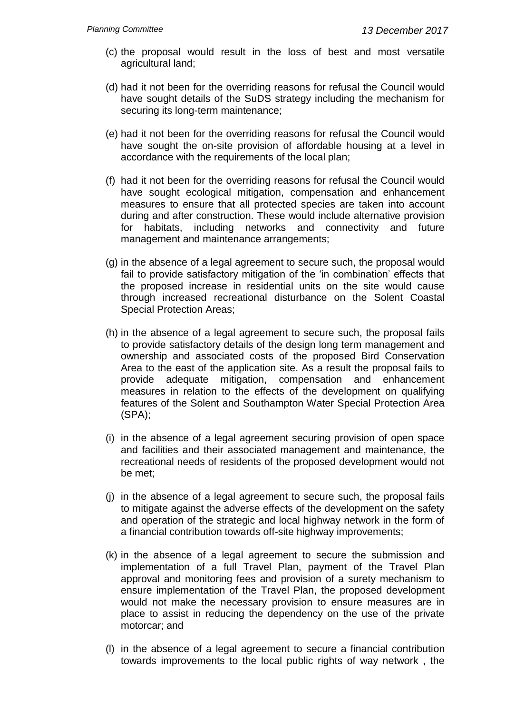- (c) the proposal would result in the loss of best and most versatile agricultural land;
- (d) had it not been for the overriding reasons for refusal the Council would have sought details of the SuDS strategy including the mechanism for securing its long-term maintenance;
- (e) had it not been for the overriding reasons for refusal the Council would have sought the on-site provision of affordable housing at a level in accordance with the requirements of the local plan;
- (f) had it not been for the overriding reasons for refusal the Council would have sought ecological mitigation, compensation and enhancement measures to ensure that all protected species are taken into account during and after construction. These would include alternative provision for habitats, including networks and connectivity and future management and maintenance arrangements;
- (g) in the absence of a legal agreement to secure such, the proposal would fail to provide satisfactory mitigation of the 'in combination' effects that the proposed increase in residential units on the site would cause through increased recreational disturbance on the Solent Coastal Special Protection Areas;
- (h) in the absence of a legal agreement to secure such, the proposal fails to provide satisfactory details of the design long term management and ownership and associated costs of the proposed Bird Conservation Area to the east of the application site. As a result the proposal fails to provide adequate mitigation, compensation and enhancement measures in relation to the effects of the development on qualifying features of the Solent and Southampton Water Special Protection Area (SPA);
- (i) in the absence of a legal agreement securing provision of open space and facilities and their associated management and maintenance, the recreational needs of residents of the proposed development would not be met;
- (j) in the absence of a legal agreement to secure such, the proposal fails to mitigate against the adverse effects of the development on the safety and operation of the strategic and local highway network in the form of a financial contribution towards off-site highway improvements;
- (k) in the absence of a legal agreement to secure the submission and implementation of a full Travel Plan, payment of the Travel Plan approval and monitoring fees and provision of a surety mechanism to ensure implementation of the Travel Plan, the proposed development would not make the necessary provision to ensure measures are in place to assist in reducing the dependency on the use of the private motorcar; and
- (l) in the absence of a legal agreement to secure a financial contribution towards improvements to the local public rights of way network , the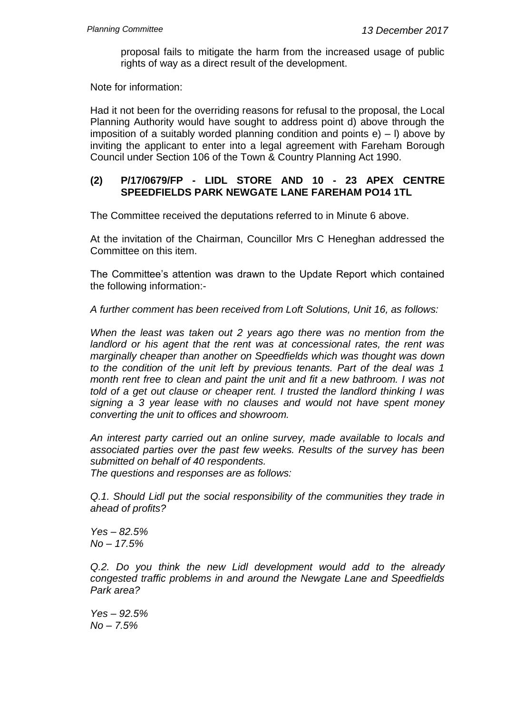proposal fails to mitigate the harm from the increased usage of public rights of way as a direct result of the development.

Note for information:

Had it not been for the overriding reasons for refusal to the proposal, the Local Planning Authority would have sought to address point d) above through the imposition of a suitably worded planning condition and points  $e$ ) – I) above by inviting the applicant to enter into a legal agreement with Fareham Borough Council under Section 106 of the Town & Country Planning Act 1990.

#### **(2) P/17/0679/FP - LIDL STORE AND 10 - 23 APEX CENTRE SPEEDFIELDS PARK NEWGATE LANE FAREHAM PO14 1TL**

The Committee received the deputations referred to in Minute 6 above.

At the invitation of the Chairman, Councillor Mrs C Heneghan addressed the Committee on this item.

The Committee's attention was drawn to the Update Report which contained the following information:-

*A further comment has been received from Loft Solutions, Unit 16, as follows:*

*When the least was taken out 2 years ago there was no mention from the landlord or his agent that the rent was at concessional rates, the rent was marginally cheaper than another on Speedfields which was thought was down to the condition of the unit left by previous tenants. Part of the deal was 1 month rent free to clean and paint the unit and fit a new bathroom. I was not told of a get out clause or cheaper rent. I trusted the landlord thinking I was signing a 3 year lease with no clauses and would not have spent money converting the unit to offices and showroom.*

*An interest party carried out an online survey, made available to locals and associated parties over the past few weeks. Results of the survey has been submitted on behalf of 40 respondents.*

*The questions and responses are as follows:*

*Q.1. Should Lidl put the social responsibility of the communities they trade in ahead of profits?*

*Yes – 82.5% No – 17.5%*

*Q.2. Do you think the new Lidl development would add to the already congested traffic problems in and around the Newgate Lane and Speedfields Park area?*

*Yes – 92.5% No – 7.5%*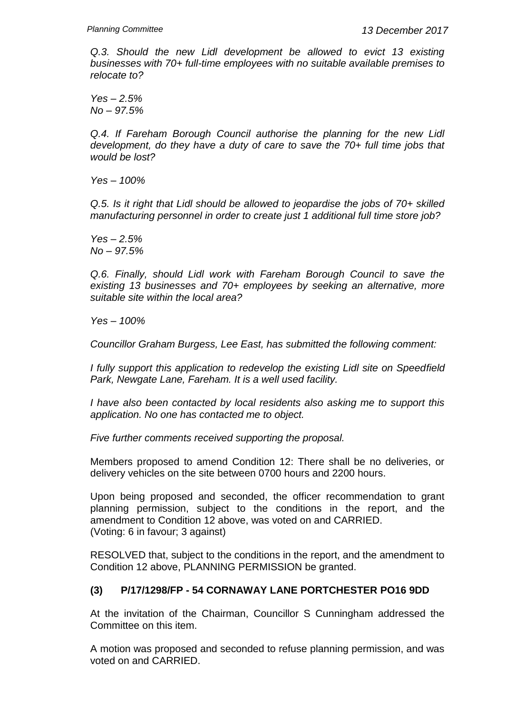*Q.3. Should the new Lidl development be allowed to evict 13 existing businesses with 70+ full-time employees with no suitable available premises to relocate to?*

*Yes – 2.5% No – 97.5%*

Q.4. If Fareham Borough Council authorise the planning for the new Lidl *development, do they have a duty of care to save the 70+ full time jobs that would be lost?*

*Yes – 100%*

*Q.5. Is it right that Lidl should be allowed to jeopardise the jobs of 70+ skilled manufacturing personnel in order to create just 1 additional full time store job?*

*Yes – 2.5% No – 97.5%*

*Q.6. Finally, should Lidl work with Fareham Borough Council to save the existing 13 businesses and 70+ employees by seeking an alternative, more suitable site within the local area?*

*Yes – 100%*

*Councillor Graham Burgess, Lee East, has submitted the following comment:*

*I fully support this application to redevelop the existing Lidl site on Speedfield Park, Newgate Lane, Fareham. It is a well used facility.*

*I have also been contacted by local residents also asking me to support this application. No one has contacted me to object.*

*Five further comments received supporting the proposal.*

Members proposed to amend Condition 12: There shall be no deliveries, or delivery vehicles on the site between 0700 hours and 2200 hours.

Upon being proposed and seconded, the officer recommendation to grant planning permission, subject to the conditions in the report, and the amendment to Condition 12 above, was voted on and CARRIED. (Voting: 6 in favour; 3 against)

RESOLVED that, subject to the conditions in the report, and the amendment to Condition 12 above, PLANNING PERMISSION be granted.

#### **(3) P/17/1298/FP - 54 CORNAWAY LANE PORTCHESTER PO16 9DD**

At the invitation of the Chairman, Councillor S Cunningham addressed the Committee on this item.

A motion was proposed and seconded to refuse planning permission, and was voted on and CARRIED.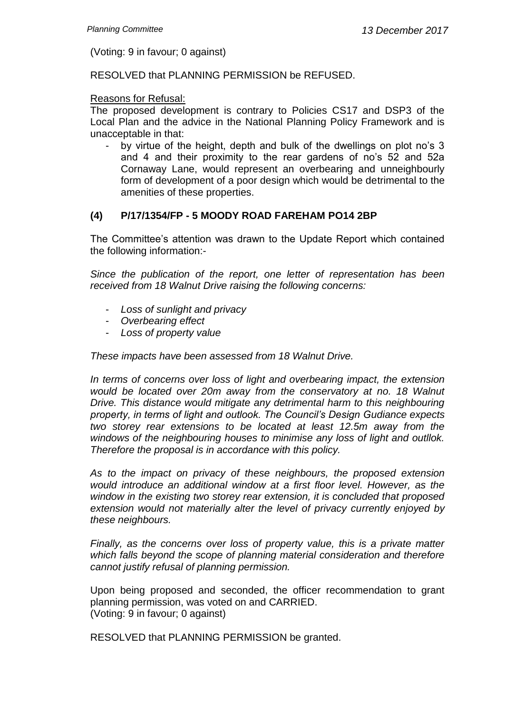(Voting: 9 in favour; 0 against)

RESOLVED that PLANNING PERMISSION be REFUSED.

#### Reasons for Refusal:

The proposed development is contrary to Policies CS17 and DSP3 of the Local Plan and the advice in the National Planning Policy Framework and is unacceptable in that:

- by virtue of the height, depth and bulk of the dwellings on plot no's 3 and 4 and their proximity to the rear gardens of no's 52 and 52a Cornaway Lane, would represent an overbearing and unneighbourly form of development of a poor design which would be detrimental to the amenities of these properties.

#### **(4) P/17/1354/FP - 5 MOODY ROAD FAREHAM PO14 2BP**

The Committee's attention was drawn to the Update Report which contained the following information:-

*Since the publication of the report, one letter of representation has been received from 18 Walnut Drive raising the following concerns:*

- *Loss of sunlight and privacy*
- *Overbearing effect*
- *Loss of property value*

*These impacts have been assessed from 18 Walnut Drive.*

*In terms of concerns over loss of light and overbearing impact, the extension would be located over 20m away from the conservatory at no. 18 Walnut Drive. This distance would mitigate any detrimental harm to this neighbouring property, in terms of light and outlook. The Council's Design Gudiance expects two storey rear extensions to be located at least 12.5m away from the windows of the neighbouring houses to minimise any loss of light and outllok. Therefore the proposal is in accordance with this policy.*

*As to the impact on privacy of these neighbours, the proposed extension would introduce an additional window at a first floor level. However, as the window in the existing two storey rear extension, it is concluded that proposed extension would not materially alter the level of privacy currently enjoyed by these neighbours.*

*Finally, as the concerns over loss of property value, this is a private matter which falls beyond the scope of planning material consideration and therefore cannot justify refusal of planning permission.*

Upon being proposed and seconded, the officer recommendation to grant planning permission, was voted on and CARRIED. (Voting: 9 in favour; 0 against)

RESOLVED that PLANNING PERMISSION be granted.